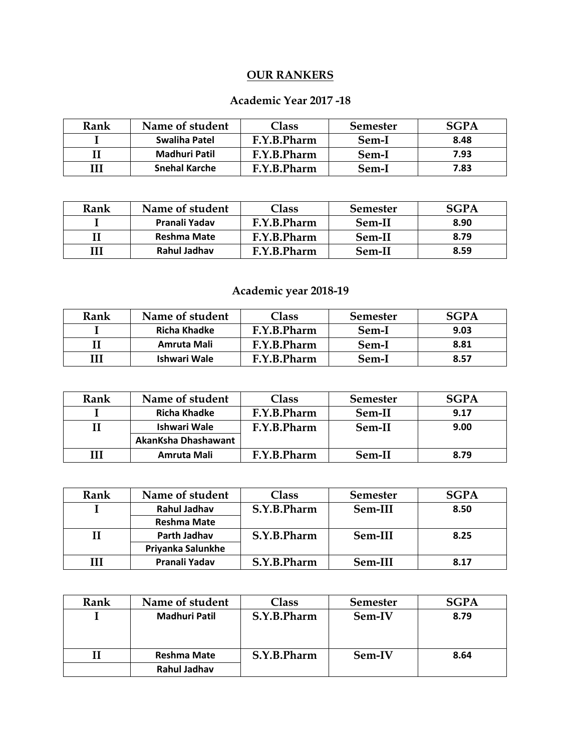## **OUR RANKERS**

### **Academic Year 2017 -18**

| Rank | Name of student      | $\textsf{Class}$ | <b>Semester</b> | <b>SGPA</b> |
|------|----------------------|------------------|-----------------|-------------|
|      | Swaliha Patel        | F.Y.B.Pharm      | Sem-I           | 8.48        |
|      | Madhuri Patil        | F.Y.B.Pharm      | Sem-I           | 7.93        |
| Ш    | <b>Snehal Karche</b> | F.Y.B.Pharm      | Sem-I           | 7.83        |

| Rank | Name of student    | Class       | <b>Semester</b> | <b>SGPA</b> |
|------|--------------------|-------------|-----------------|-------------|
|      | Pranali Yadav      | F.Y.B.Pharm | Sem-II          | 8.90        |
|      | <b>Reshma Mate</b> | F.Y.B.Pharm | Sem-II          | 8.79        |
|      | Rahul Jadhav       | F.Y.B.Pharm | Sem-II          | 8.59        |

## **Academic year 2018-19**

| Rank | Name of student | Class       | <b>Semester</b> | SCPA |
|------|-----------------|-------------|-----------------|------|
|      | Richa Khadke    | F.Y.B.Pharm | Sem-I           | 9.03 |
|      | Amruta Mali     | F.Y.B.Pharm | Sem-I           | 8.81 |
|      | Ishwari Wale    | F.Y.B.Pharm | Sem-I           | 8.57 |

| Rank | Name of student     | Class       | <b>Semester</b> | <b>SGPA</b> |
|------|---------------------|-------------|-----------------|-------------|
|      | Richa Khadke        | F.Y.B.Pharm | Sem-II          | 9.17        |
|      | Ishwari Wale        | F.Y.B.Pharm | Sem-II          | 9.00        |
|      | AkanKsha Dhashawant |             |                 |             |
| Ш    | Amruta Mali         | F.Y.B.Pharm | Sem-II          | 8.79        |

| Rank | Name of student    | Class       | <b>Semester</b> | <b>SGPA</b> |
|------|--------------------|-------------|-----------------|-------------|
|      | Rahul Jadhav       | S.Y.B.Pharm | Sem-III         | 8.50        |
|      | <b>Reshma Mate</b> |             |                 |             |
|      | Parth Jadhav       | S.Y.B.Pharm | Sem-III         | 8.25        |
|      | Priyanka Salunkhe  |             |                 |             |
| ш    | Pranali Yadav      | S.Y.B.Pharm | Sem-III         | 8.17        |

| Rank | Name of student      | Class       | <b>Semester</b> | <b>SGPA</b> |
|------|----------------------|-------------|-----------------|-------------|
|      | <b>Madhuri Patil</b> | S.Y.B.Pharm | Sem-IV          | 8.79        |
|      |                      |             |                 |             |
|      |                      |             |                 |             |
|      | Reshma Mate          | S.Y.B.Pharm | Sem-IV          | 8.64        |
|      | Rahul Jadhav         |             |                 |             |
|      |                      |             |                 |             |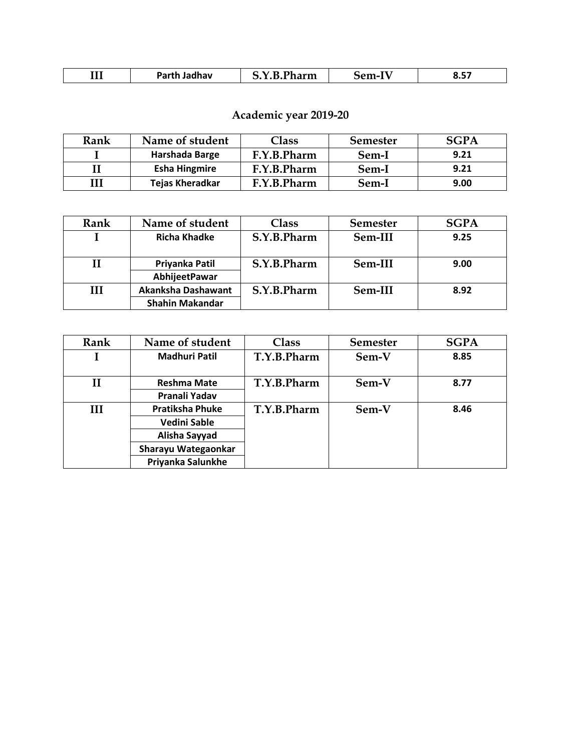| TTT<br>п~м<br>dhav<br>.<br>$\mathbf{m}$<br>.<br><br>.<br>$-$ | -- -<br>.<br>___ | .<br>$ -$ |
|--------------------------------------------------------------|------------------|-----------|
|--------------------------------------------------------------|------------------|-----------|

## **Academic year 2019-20**

| Rank | Name of student        | Class       | <b>Semester</b> | SGPA |
|------|------------------------|-------------|-----------------|------|
|      | Harshada Barge         | F.Y.B.Pharm | Sem-I           | 9.21 |
|      | <b>Esha Hingmire</b>   | F.Y.B.Pharm | Sem-I           | 9.21 |
|      | <b>Tejas Kheradkar</b> | F.Y.B.Pharm | Sem-I           | 9.00 |

| Rank | Name of student        | <b>Class</b> | <b>Semester</b> | <b>SGPA</b> |
|------|------------------------|--------------|-----------------|-------------|
|      | <b>Richa Khadke</b>    | S.Y.B.Pharm  | Sem-III         | 9.25        |
|      |                        |              |                 |             |
|      | Priyanka Patil         | S.Y.B.Pharm  | Sem-III         | 9.00        |
|      | AbhijeetPawar          |              |                 |             |
| Ш    | Akanksha Dashawant     | S.Y.B.Pharm  | Sem-III         | 8.92        |
|      | <b>Shahin Makandar</b> |              |                 |             |

| Rank         | Name of student        | Class       | <b>Semester</b> | <b>SGPA</b> |
|--------------|------------------------|-------------|-----------------|-------------|
|              | <b>Madhuri Patil</b>   | T.Y.B.Pharm | Sem-V           | 8.85        |
|              |                        |             |                 |             |
| $\mathbf{I}$ | <b>Reshma Mate</b>     | T.Y.B.Pharm | Sem-V           | 8.77        |
|              | Pranali Yadav          |             |                 |             |
| Ш            | <b>Pratiksha Phuke</b> | T.Y.B.Pharm | Sem-V           | 8.46        |
|              | <b>Vedini Sable</b>    |             |                 |             |
|              | Alisha Sayyad          |             |                 |             |
|              | Sharayu Wategaonkar    |             |                 |             |
|              | Priyanka Salunkhe      |             |                 |             |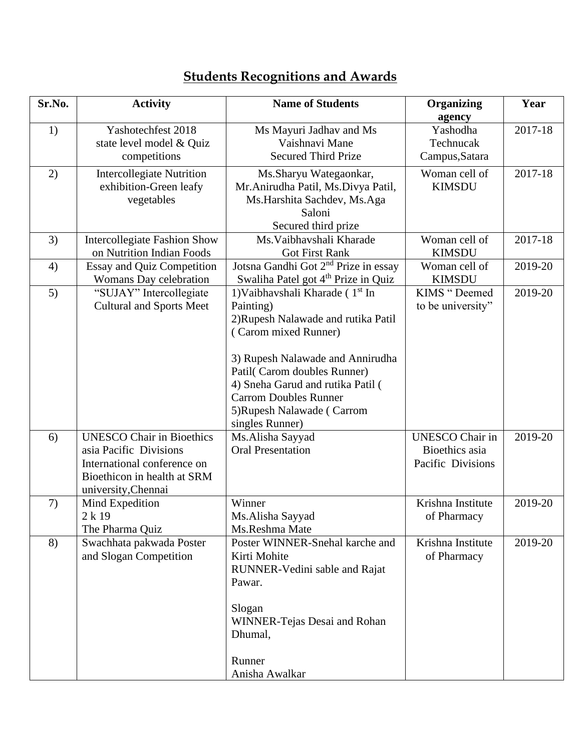| Sr.No. | <b>Activity</b>                                                                                                                                 | <b>Name of Students</b>                                                                                                                                                                                                                                                                                          | <b>Organizing</b><br>agency                                   | Year    |
|--------|-------------------------------------------------------------------------------------------------------------------------------------------------|------------------------------------------------------------------------------------------------------------------------------------------------------------------------------------------------------------------------------------------------------------------------------------------------------------------|---------------------------------------------------------------|---------|
| 1)     | Yashotechfest 2018<br>state level model & Quiz<br>competitions                                                                                  | Ms Mayuri Jadhav and Ms<br>Vaishnavi Mane<br><b>Secured Third Prize</b>                                                                                                                                                                                                                                          | Yashodha<br>Technucak<br>Campus, Satara                       | 2017-18 |
| 2)     | <b>Intercollegiate Nutrition</b><br>exhibition-Green leafy<br>vegetables                                                                        | Ms.Sharyu Wategaonkar,<br>Mr. Anirudha Patil, Ms. Divya Patil,<br>Ms.Harshita Sachdev, Ms.Aga<br>Saloni<br>Secured third prize                                                                                                                                                                                   | Woman cell of<br><b>KIMSDU</b>                                | 2017-18 |
| 3)     | <b>Intercollegiate Fashion Show</b><br>on Nutrition Indian Foods                                                                                | Ms. Vaibhavshali Kharade<br><b>Got First Rank</b>                                                                                                                                                                                                                                                                | Woman cell of<br><b>KIMSDU</b>                                | 2017-18 |
| 4)     | <b>Essay and Quiz Competition</b><br>Womans Day celebration                                                                                     | Jotsna Gandhi Got 2 <sup>nd</sup> Prize in essay<br>Swaliha Patel got 4 <sup>th</sup> Prize in Quiz                                                                                                                                                                                                              | Woman cell of<br><b>KIMSDU</b>                                | 2019-20 |
| 5)     | "SUJAY" Intercollegiate<br><b>Cultural and Sports Meet</b>                                                                                      | 1) Vaibhavshali Kharade (1 <sup>st</sup> In<br>Painting)<br>2) Rupesh Nalawade and rutika Patil<br>(Carom mixed Runner)<br>3) Rupesh Nalawade and Annirudha<br>Patil(Carom doubles Runner)<br>4) Sneha Garud and rutika Patil (<br><b>Carrom Doubles Runner</b><br>5) Rupesh Nalawade (Carrom<br>singles Runner) | KIMS "Deemed<br>to be university"                             | 2019-20 |
| 6)     | <b>UNESCO Chair in Bioethics</b><br>asia Pacific Divisions<br>International conference on<br>Bioethicon in health at SRM<br>university, Chennai | Ms.Alisha Sayyad<br><b>Oral Presentation</b>                                                                                                                                                                                                                                                                     | <b>UNESCO</b> Chair in<br>Bioethics asia<br>Pacific Divisions | 2019-20 |
| 7)     | Mind Expedition<br>2k19<br>The Pharma Quiz                                                                                                      | Winner<br>Ms.Alisha Sayyad<br>Ms.Reshma Mate                                                                                                                                                                                                                                                                     | Krishna Institute<br>of Pharmacy                              | 2019-20 |
| 8)     | Swachhata pakwada Poster<br>and Slogan Competition                                                                                              | Poster WINNER-Snehal karche and<br>Kirti Mohite<br>RUNNER-Vedini sable and Rajat<br>Pawar.<br>Slogan<br>WINNER-Tejas Desai and Rohan<br>Dhumal,<br>Runner<br>Anisha Awalkar                                                                                                                                      | Krishna Institute<br>of Pharmacy                              | 2019-20 |

# **Students Recognitions and Awards**